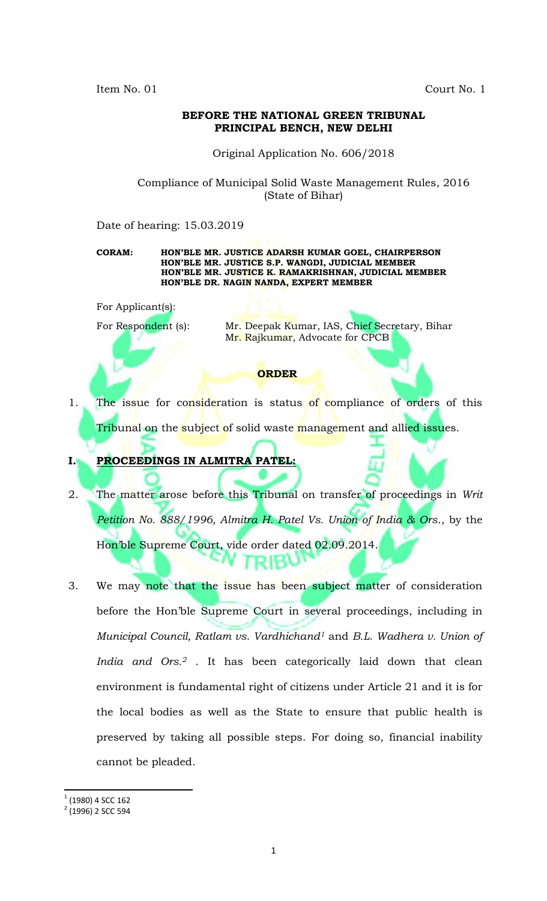Item No. 01 Court No. 1

## **BEFORE THE NATIONAL GREEN TRIBUNAL PRINCIPAL BENCH, NEW DELHI**

Original Application No. 606/2018

Compliance of Municipal Solid Waste Management Rules, 2016 (State of Bihar)

Date of hearing: 15.03.2019

**CORAM: HON'BLE MR. JUSTICE ADARSH KUMAR GOEL, CHAIRPERSON HON'BLE MR. JUSTICE S.P. WANGDI, JUDICIAL MEMBER HON'BLE MR. JUSTICE K. RAMAKRISHNAN, JUDICIAL MEMBER HON'BLE DR. NAGIN NANDA, EXPERT MEMBER**

For Applicant(s):

For Respondent (s): Mr. Deepak Kumar, IAS, Chief Secretary, Bihar Mr. Rajkumar, Advocate for CPCB

## **ORDER**

1. The issue for consideration is status of compliance of orders of this Tribunal on the subject of solid waste management and allied issues.

**I. PROCEEDINGS IN ALMITRA PATEL:**

- 2. The matter arose before this Tribunal on transfer of proceedings in *Writ Petition No. 888/1996, Almitra H. Patel Vs. Union of India & Ors*., by the Hon'ble Supreme Court, vide order dated 02.09.2014.
- 3. We may note that the issue has been subject matter of consideration before the Hon'ble Supreme Court in several proceedings, including in *Municipal Council, Ratlam vs. Vardhichand<sup>1</sup>* and *B.L. Wadhera v. Union of India and Ors.<sup>2</sup>* . It has been categorically laid down that clean environment is fundamental right of citizens under Article 21 and it is for the local bodies as well as the State to ensure that public health is preserved by taking all possible steps. For doing so, financial inability cannot be pleaded.

 $\overline{a}$  $1$  (1980) 4 SCC 162

<sup>&</sup>lt;sup>2</sup> (1996) 2 SCC 594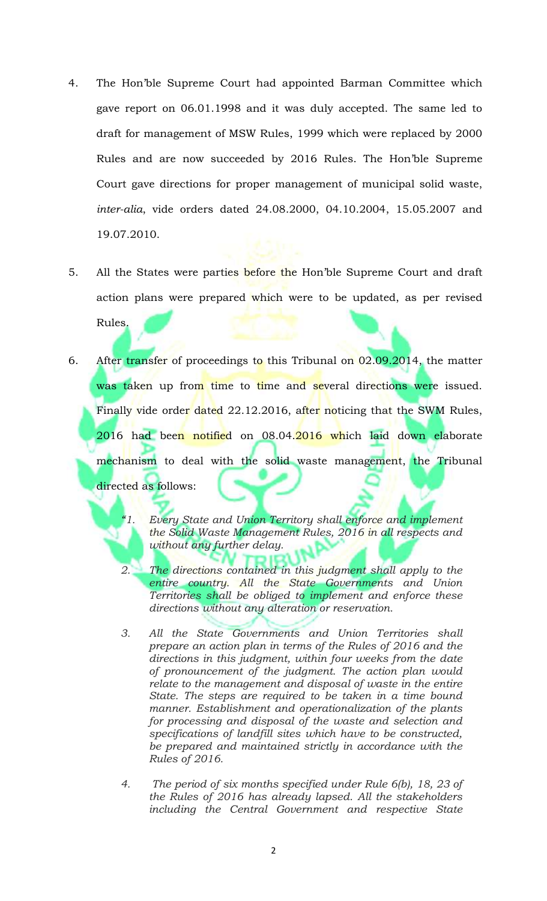- 4. The Hon'ble Supreme Court had appointed Barman Committee which gave report on 06.01.1998 and it was duly accepted. The same led to draft for management of MSW Rules, 1999 which were replaced by 2000 Rules and are now succeeded by 2016 Rules. The Hon'ble Supreme Court gave directions for proper management of municipal solid waste, *inter-alia*, vide orders dated 24.08.2000, 04.10.2004, 15.05.2007 and 19.07.2010.
- 5. All the States were parties before the Hon'ble Supreme Court and draft action plans were prepared which were to be updated, as per revised Rules.
- 6. After transfer of proceedings to this Tribunal on 02.09.2014, the matter was taken up from time to time and several directions were issued. Finally vide order dated 22.12.2016, after noticing that the SWM Rules, 2016 had been notified on 08.04.2016 which laid down elaborate mechanism to deal with the solid waste management, the Tribunal directed as follows:
	- *"1. Every State and Union Territory shall enforce and implement the Solid Waste Management Rules, 2016 in all respects and without any further delay.*
	- *2. The directions contained in this judgment shall apply to the entire country. All the State Governments and Union Territories shall be obliged to implement and enforce these directions without any alteration or reservation.*
	- *3. All the State Governments and Union Territories shall prepare an action plan in terms of the Rules of 2016 and the directions in this judgment, within four weeks from the date of pronouncement of the judgment. The action plan would relate to the management and disposal of waste in the entire State. The steps are required to be taken in a time bound manner. Establishment and operationalization of the plants for processing and disposal of the waste and selection and specifications of landfill sites which have to be constructed, be prepared and maintained strictly in accordance with the Rules of 2016.*
	- *4. The period of six months specified under Rule 6(b), 18, 23 of the Rules of 2016 has already lapsed. All the stakeholders including the Central Government and respective State*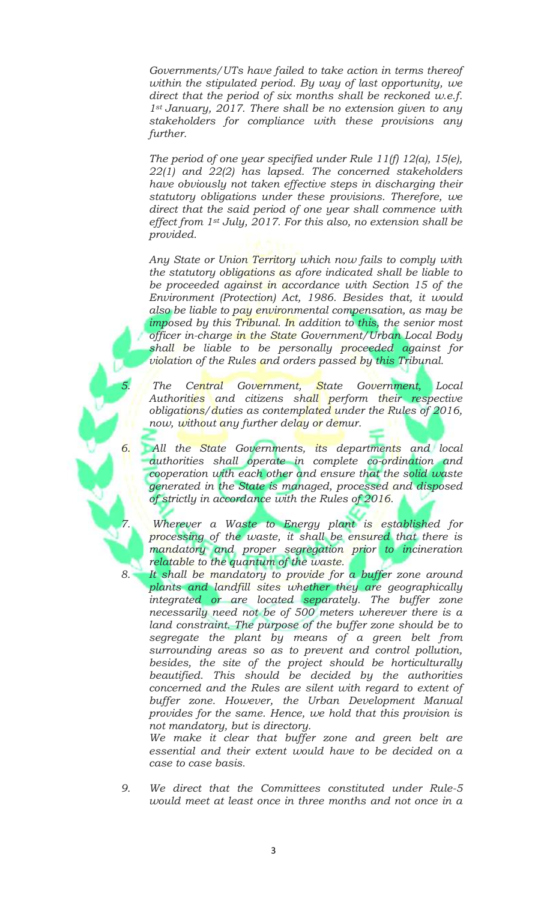*Governments/UTs have failed to take action in terms thereof within the stipulated period. By way of last opportunity, we direct that the period of six months shall be reckoned w.e.f. 1st January, 2017. There shall be no extension given to any stakeholders for compliance with these provisions any further.*

*The period of one year specified under Rule 11(f) 12(a), 15(e), 22(1) and 22(2) has lapsed. The concerned stakeholders have obviously not taken effective steps in discharging their statutory obligations under these provisions. Therefore, we direct that the said period of one year shall commence with effect from 1st July, 2017. For this also, no extension shall be provided.*

*Any State or Union Territory which now fails to comply with the statutory obligations as afore indicated shall be liable to be proceeded against in accordance with Section 15 of the Environment (Protection) Act, 1986. Besides that, it would also be liable to pay environmental compensation, as may be imposed by this Tribunal. In addition to this, the senior most officer in-charge in the State Government/Urban Local Body shall be liable to be personally proceeded against for violation of the Rules and orders passed by this Tribunal.*

*5. The Central Government, State Government, Local Authorities and citizens shall perform their respective obligations/duties as contemplated under the Rules of 2016, now, without any further delay or demur.*

*6. All the State Governments, its departments and local authorities shall operate in complete co-ordination and cooperation with each other and ensure that the solid waste generated in the State is managed, processed and disposed of strictly in accordance with the Rules of 2016.*

*7. Wherever a Waste to Energy plant is established for processing of the waste, it shall be ensured that there is mandatory and proper segregation prior to incineration relatable to the quantum of the waste.*

*8. It shall be mandatory to provide for a buffer zone around plants and landfill sites whether they are geographically integrated or are located separately. The buffer zone necessarily need not be of 500 meters wherever there is a land constraint. The purpose of the buffer zone should be to segregate the plant by means of a green belt from surrounding areas so as to prevent and control pollution, besides, the site of the project should be horticulturally beautified. This should be decided by the authorities concerned and the Rules are silent with regard to extent of buffer zone. However, the Urban Development Manual provides for the same. Hence, we hold that this provision is not mandatory, but is directory.*

*We make it clear that buffer zone and green belt are essential and their extent would have to be decided on a case to case basis.*

*9. We direct that the Committees constituted under Rule-5 would meet at least once in three months and not once in a*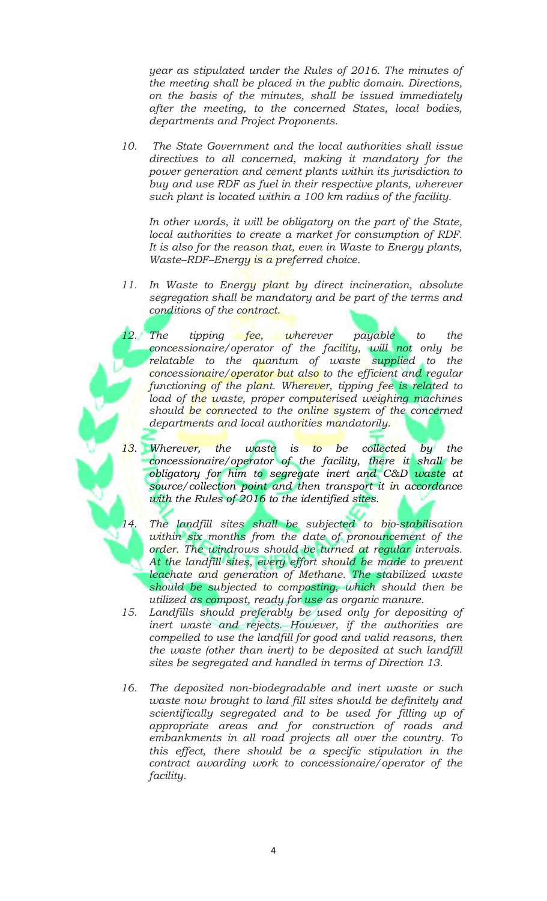*year as stipulated under the Rules of 2016. The minutes of the meeting shall be placed in the public domain. Directions, on the basis of the minutes, shall be issued immediately after the meeting, to the concerned States, local bodies, departments and Project Proponents.*

*10. The State Government and the local authorities shall issue directives to all concerned, making it mandatory for the power generation and cement plants within its jurisdiction to buy and use RDF as fuel in their respective plants, wherever such plant is located within a 100 km radius of the facility.*

*In other words, it will be obligatory on the part of the State, local authorities to create a market for consumption of RDF. It is also for the reason that, even in Waste to Energy plants, Waste–RDF–Energy is a preferred choice.*

- *11. In Waste to Energy plant by direct incineration, absolute segregation shall be mandatory and be part of the terms and conditions of the contract.* 
	- *12. The tipping fee, wherever payable to the concessionaire/operator of the facility, will not only be relatable to the quantum of waste supplied to the concessionaire/operator but also to the efficient and regular functioning of the plant. Wherever, tipping fee is related to*  load of the waste, proper computerised weighing machines *should be connected to the online system of the concerned departments and local authorities mandatorily.*
- *13. Wherever, the waste is to be collected by the concessionaire/operator of the facility, there it shall be obligatory for him to segregate inert and C&D waste at source/collection point and then transport it in accordance with the Rules of 2016 to the identified sites.* 
	- *14. The landfill sites shall be subjected to bio-stabilisation within six months from the date of pronouncement of the order. The windrows should be turned at regular intervals. At the landfill sites, every effort should be made to prevent leachate and generation of Methane. The stabilized waste should be subjected to composting, which should then be utilized as compost, ready for use as organic manure.*
- *15. Landfills should preferably be used only for depositing of inert waste and rejects. However, if the authorities are compelled to use the landfill for good and valid reasons, then the waste (other than inert) to be deposited at such landfill sites be segregated and handled in terms of Direction 13.*
- *16. The deposited non-biodegradable and inert waste or such waste now brought to land fill sites should be definitely and scientifically segregated and to be used for filling up of appropriate areas and for construction of roads and embankments in all road projects all over the country. To this effect, there should be a specific stipulation in the contract awarding work to concessionaire/operator of the facility.*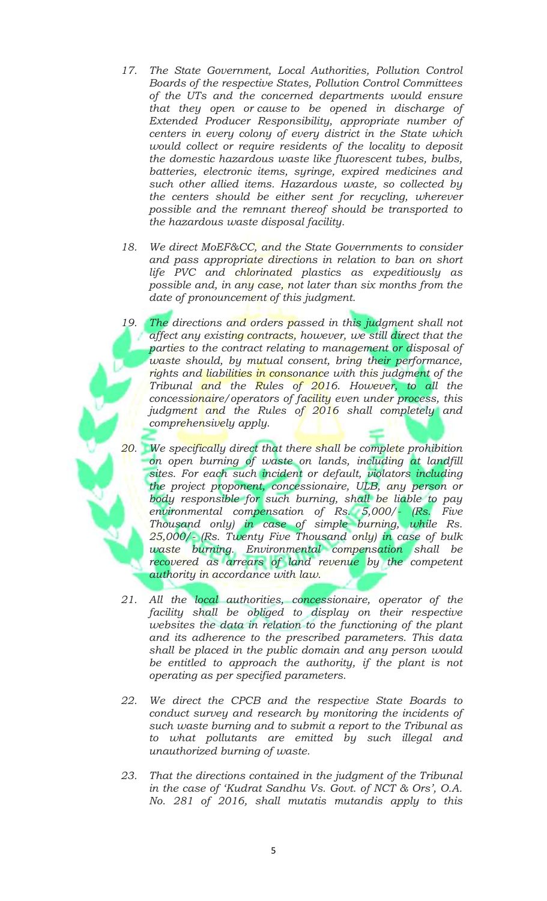- *17. The State Government, Local Authorities, Pollution Control Boards of the respective States, Pollution Control Committees of the UTs and the concerned departments would ensure that they open or cause to be opened in discharge of Extended Producer Responsibility, appropriate number of centers in every colony of every district in the State which would collect or require residents of the locality to deposit the domestic hazardous waste like fluorescent tubes, bulbs, batteries, electronic items, syringe, expired medicines and such other allied items. Hazardous waste, so collected by the centers should be either sent for recycling, wherever possible and the remnant thereof should be transported to the hazardous waste disposal facility.*
- *18. We direct MoEF&CC, and the State Governments to consider and pass appropriate directions in relation to ban on short life PVC and chlorinated plastics as expeditiously as possible and, in any case, not later than six months from the date of pronouncement of this judgment.*
- *19. The directions and orders passed in this judgment shall not affect any existing contracts, however, we still direct that the parties to the contract relating to management or disposal of waste should, by mutual consent, bring their performance, rights and liabilities in consonance with this judgment of the Tribunal and the Rules of 2016. However, to all the concessionaire/operators of facility even under process, this judgment and the Rules of 2016 shall completely and comprehensively apply.*
- *20. We specifically direct that there shall be complete prohibition on open burning of waste on lands, including at landfill sites. For each such incident or default, violators including the project proponent, concessionaire, ULB, any person or body responsible for such burning, shall be liable to pay environmental compensation of Rs. 5,000/- (Rs. Five Thousand only) in case of simple burning, while Rs. 25,000/- (Rs. Twenty Five Thousand only) in case of bulk waste burning. Environmental compensation shall be*  recovered as arrears of land revenue by the competent *authority in accordance with law.*
- *21. All the local authorities, concessionaire, operator of the facility shall be obliged to display on their respective websites the data in relation to the functioning of the plant and its adherence to the prescribed parameters. This data shall be placed in the public domain and any person would*  be entitled to approach the authority, if the plant is not *operating as per specified parameters.*
- *22. We direct the CPCB and the respective State Boards to conduct survey and research by monitoring the incidents of such waste burning and to submit a report to the Tribunal as to what pollutants are emitted by such illegal and unauthorized burning of waste.*
- *23. That the directions contained in the judgment of the Tribunal in the case of 'Kudrat Sandhu Vs. Govt. of NCT & Ors', O.A. No. 281 of 2016, shall mutatis mutandis apply to this*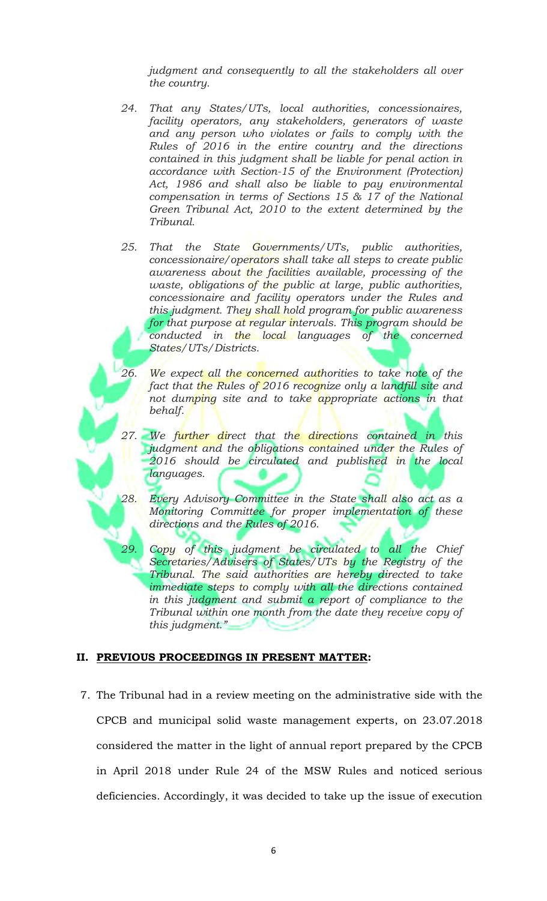*judgment and consequently to all the stakeholders all over the country.* 

- *24. That any States/UTs, local authorities, concessionaires, facility operators, any stakeholders, generators of waste and any person who violates or fails to comply with the Rules of 2016 in the entire country and the directions contained in this judgment shall be liable for penal action in accordance with Section-15 of the Environment (Protection) Act, 1986 and shall also be liable to pay environmental compensation in terms of Sections 15 & 17 of the National Green Tribunal Act, 2010 to the extent determined by the Tribunal.*
- *25. That the State Governments/UTs, public authorities, concessionaire/operators shall take all steps to create public awareness about the facilities available, processing of the waste, obligations of the public at large, public authorities, concessionaire and facility operators under the Rules and this judgment. They shall hold program for public awareness for that purpose at regular intervals. This program should be conducted in the local languages of the concerned States/UTs/Districts.*
- *26. We expect all the concerned authorities to take note of the fact that the Rules of 2016 recognize only a landfill site and not dumping site and to take appropriate actions in that behalf.*
- *27. We further direct that the directions contained in this judgment and the obligations contained under the Rules of 2016 should be circulated and published in the local languages.*
- *28. Every Advisory Committee in the State shall also act as a Monitoring Committee for proper implementation of these directions and the Rules of 2016.* 
	- *29. Copy of this judgment be circulated to all the Chief Secretaries/Advisers of States/UTs by the Registry of the Tribunal. The said authorities are hereby directed to take immediate steps to comply with all the directions contained in this judgment and submit a report of compliance to the Tribunal within one month from the date they receive copy of this judgment."*

#### **II. PREVIOUS PROCEEDINGS IN PRESENT MATTER:**

7. The Tribunal had in a review meeting on the administrative side with the CPCB and municipal solid waste management experts, on 23.07.2018 considered the matter in the light of annual report prepared by the CPCB in April 2018 under Rule 24 of the MSW Rules and noticed serious deficiencies. Accordingly, it was decided to take up the issue of execution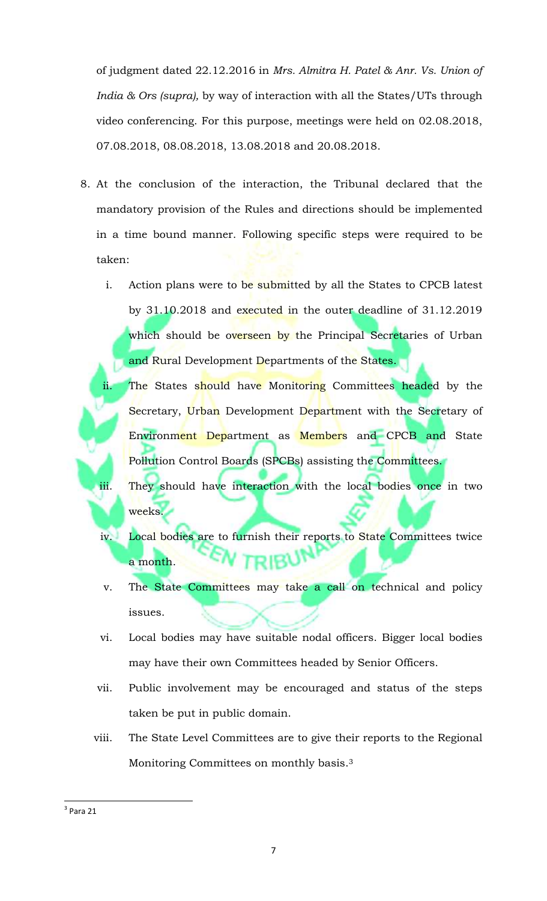of judgment dated 22.12.2016 in *Mrs. Almitra H. Patel & Anr. Vs. Union of India & Ors (supra),* by way of interaction with all the States/UTs through video conferencing. For this purpose, meetings were held on 02.08.2018, 07.08.2018, 08.08.2018, 13.08.2018 and 20.08.2018.

- 8. At the conclusion of the interaction, the Tribunal declared that the mandatory provision of the Rules and directions should be implemented in a time bound manner. Following specific steps were required to be taken:
	- i. Action plans were to be submitted by all the States to CPCB latest by 31.10.2018 and executed in the outer deadline of 31.12.2019 which should be overseen by the Principal Secretaries of Urban and Rural Development Departments of the States.
	- ii. The States should have Monitoring Committees headed by the Secretary, Urban Development Department with the Secretary of Environment Department as Members and CPCB and State Pollution Control Boards (SPCBs) assisting the Committees. iii. They should have interaction with the local bodies once in two

weeks.

- iv. Local bodies are to furnish their reports to State Committees twice a month.
- v. The State Committees may take a call on technical and policy issues.
- vi. Local bodies may have suitable nodal officers. Bigger local bodies may have their own Committees headed by Senior Officers.
- vii. Public involvement may be encouraged and status of the steps taken be put in public domain.
- viii. The State Level Committees are to give their reports to the Regional Monitoring Committees on monthly basis.<sup>3</sup>

 $\overline{\phantom{a}}$ 

 $3$  Para 21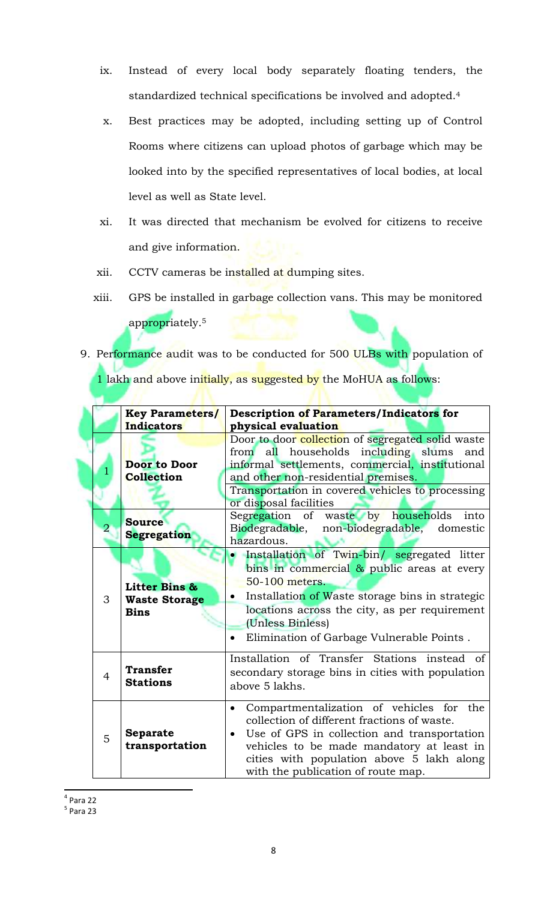- ix. Instead of every local body separately floating tenders, the standardized technical specifications be involved and adopted.<sup>4</sup>
- x. Best practices may be adopted, including setting up of Control Rooms where citizens can upload photos of garbage which may be looked into by the specified representatives of local bodies, at local level as well as State level.
- xi. It was directed that mechanism be evolved for citizens to receive and give information.
- xii. CCTV cameras be installed at dumping sites.
- xiii. GPS be installed in garbage collection vans. This may be monitored appropriately.<sup>5</sup>
- 9. Performance audit was to be conducted for 500 ULBs with population of 1 lakh and above initially, as suggested by the MoHUA as follows:

|                | <b>Key Parameters/</b>                               | Description of Parameters/Indicators for                                                                                                                                                                                                                                                         |
|----------------|------------------------------------------------------|--------------------------------------------------------------------------------------------------------------------------------------------------------------------------------------------------------------------------------------------------------------------------------------------------|
|                | Indicators                                           | physical evaluation                                                                                                                                                                                                                                                                              |
|                | <b>Door to Door</b><br><b>Collection</b>             | Door to door collection of segregated solid waste<br>from all households including slums and<br>informal settlements, commercial, institutional<br>and other non-residential premises.<br>Transportation in covered vehicles to processing<br>or disposal facilities                             |
| $\overline{2}$ | <b>Source</b><br><b>Segregation</b>                  | Segregation of waste by households<br>into<br>Biodegradable, non-biodegradable, domestic<br>hazardous.                                                                                                                                                                                           |
| 3              | Litter Bins &<br><b>Waste Storage</b><br><b>Bins</b> | Installation of Twin-bin/ segregated litter<br>bins in commercial $\&$ public areas at every<br>50-100 meters.<br>Installation of Waste storage bins in strategic<br>locations across the city, as per requirement<br>(Unless Binless)<br>Elimination of Garbage Vulnerable Points.              |
| $\overline{4}$ | <b>Transfer</b><br><b>Stations</b>                   | Installation of Transfer Stations instead of<br>secondary storage bins in cities with population<br>above 5 lakhs.                                                                                                                                                                               |
| 5              | <b>Separate</b><br>transportation                    | Compartmentalization of vehicles for the<br>$\bullet$<br>collection of different fractions of waste.<br>Use of GPS in collection and transportation<br>$\bullet$<br>vehicles to be made mandatory at least in<br>cities with population above 5 lakh along<br>with the publication of route map. |

 $\overline{a}$ 4 Para 22

5 Para 23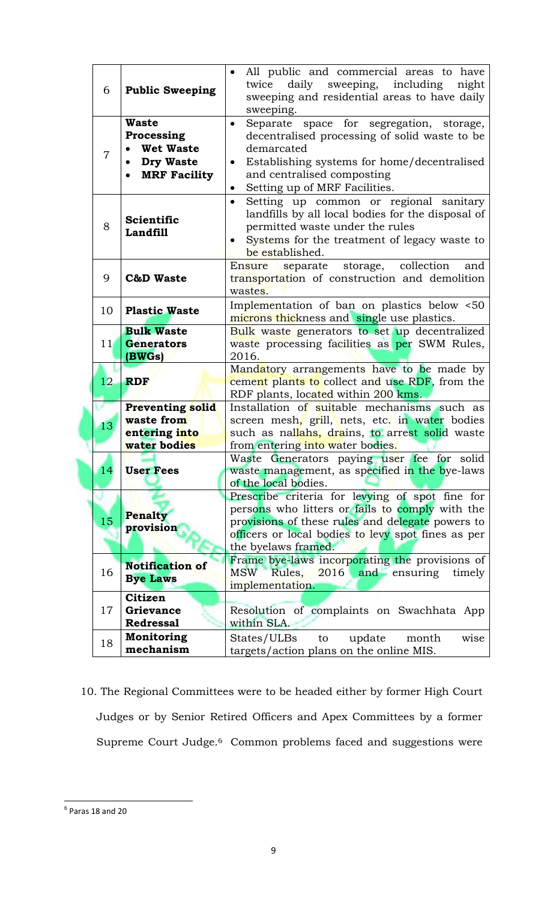| 6               | <b>Public Sweeping</b>                                                                    | All public and commercial areas to have<br>daily<br>sweeping,<br>including<br>twice<br>night<br>sweeping and residential areas to have daily<br>sweeping.                                                                           |
|-----------------|-------------------------------------------------------------------------------------------|-------------------------------------------------------------------------------------------------------------------------------------------------------------------------------------------------------------------------------------|
| 7               | <b>Waste</b><br>Processing<br><b>Wet Waste</b><br><b>Dry Waste</b><br><b>MRF Facility</b> | Separate space for segregation, storage,<br>٠<br>decentralised processing of solid waste to be<br>demarcated<br>Establishing systems for home/decentralised<br>and centralised composting<br>Setting up of MRF Facilities.          |
| 8               | <b>Scientific</b><br><b>Landfill</b>                                                      | Setting up common or regional sanitary<br>$\bullet$<br>landfills by all local bodies for the disposal of<br>permitted waste under the rules<br>Systems for the treatment of legacy waste to<br>be established.                      |
| 9               | <b>C&amp;D Waste</b>                                                                      | collection<br>Ensure<br>separate<br>storage,<br>and<br>transportation of construction and demolition<br>wastes.                                                                                                                     |
| 10              | <b>Plastic Waste</b>                                                                      | Implementation of ban on plastics below <50<br>microns thickness and single use plastics.                                                                                                                                           |
| 11 <sub>l</sub> | <b>Bulk Waste</b><br><b>Generators</b><br>(BWGs)                                          | Bulk waste generators to set up decentralized<br>waste processing facilities as per SWM Rules,<br>2016.                                                                                                                             |
| 12              | <b>RDF</b>                                                                                | Mandatory arrangements have to be made by<br>cement plants to collect and use RDF, from the<br>RDF plants, located within 200 kms.                                                                                                  |
|                 | <b>Preventing solid</b>                                                                   | Installation of suitable mechanisms such as                                                                                                                                                                                         |
|                 | waste from                                                                                |                                                                                                                                                                                                                                     |
| 13              |                                                                                           | screen mesh, grill, nets, etc. in water bodies                                                                                                                                                                                      |
|                 | entering into                                                                             | such as nallahs, drains, to arrest solid waste                                                                                                                                                                                      |
|                 | water bodies                                                                              | from entering into water bodies.                                                                                                                                                                                                    |
| 14              | <b>User Fees</b>                                                                          | Waste Generators paying user fee for solid<br>waste management, as specified in the bye-laws<br>of the local bodies.                                                                                                                |
| 15              | Penalty<br>provision                                                                      | Prescribe criteria for levying of spot fine for<br>persons who litters or fails to comply with the<br>provisions of these rules and delegate powers to<br>officers or local bodies to levy spot fines as per<br>the byelaws framed. |
| 16              | <b>Notification of</b><br><b>Bye Laws</b>                                                 | Frame bye-laws incorporating the provisions of<br><b>MSW</b><br>Rules,<br>2016 and ensuring<br>timely<br>implementation.                                                                                                            |
| 17              | <b>Citizen</b><br><b>Grievance</b><br><b>Redressal</b>                                    | Resolution of complaints on Swachhata App<br>within SLA.                                                                                                                                                                            |
| 18              | Monitoring<br>mechanism                                                                   | update<br>States/ULBs<br>month<br>wise<br>to<br>targets/action plans on the online MIS.                                                                                                                                             |

10. The Regional Committees were to be headed either by former High Court Judges or by Senior Retired Officers and Apex Committees by a former Supreme Court Judge.<sup>6</sup> Common problems faced and suggestions were

 6 Paras 18 and 20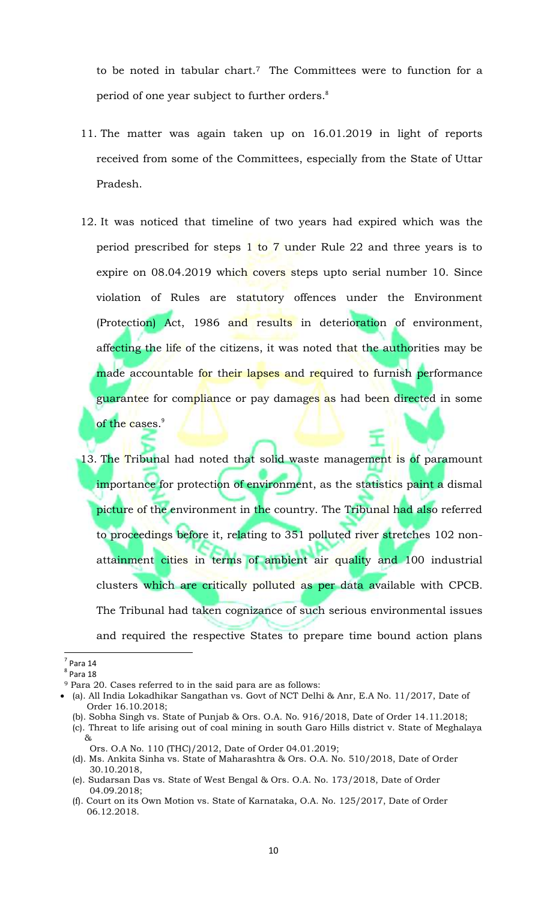to be noted in tabular chart.7 The Committees were to function for a period of one year subject to further orders.<sup>8</sup>

- 11. The matter was again taken up on 16.01.2019 in light of reports received from some of the Committees, especially from the State of Uttar Pradesh.
- 12. It was noticed that timeline of two years had expired which was the period prescribed for steps 1 to 7 under Rule 22 and three years is to expire on 08.04.2019 which covers steps upto serial number 10. Since violation of Rules are statutory offences under the Environment (Protection) Act, 1986 and results in deterioration of environment, affecting the life of the citizens, it was noted that the authorities may be made accountable for their lapses and required to furnish performance guarantee for compliance or pay damages as had been directed in some of the cases.<sup>9</sup>
- 13. The Tribunal had noted that solid waste management is of paramount importance for protection of environment, as the statistics paint a dismal picture of the environment in the country. The Tribunal had also referred to proceedings before it, relating to 351 polluted river stretches 102 nonattainment cities in terms of ambient air quality and 100 industrial clusters which are critically polluted as per data available with CPCB. The Tribunal had taken cognizance of such serious environmental issues and required the respective States to prepare time bound action plans

 $\overline{\phantom{a}}$ 

 $<sup>7</sup>$  Para 14</sup>

 $<sup>8</sup>$  Para 18</sup>

<sup>9</sup> Para 20. Cases referred to in the said para are as follows:

(a). All India Lokadhikar Sangathan vs. Govt of NCT Delhi & Anr, E.A No. 11/2017, Date of Order 16.10.2018;

<sup>(</sup>b). Sobha Singh vs. State of Punjab & Ors. O.A. No. 916/2018, Date of Order 14.11.2018;

<sup>(</sup>c). Threat to life arising out of coal mining in south Garo Hills district v. State of Meghalaya &

Ors. O.A No. 110 (THC)/2012, Date of Order 04.01.2019;

<sup>(</sup>d). Ms. Ankita Sinha vs. State of Maharashtra & Ors. O.A. No. 510/2018, Date of Order 30.10.2018,

<sup>(</sup>e). Sudarsan Das vs. State of West Bengal & Ors. O.A. No. 173/2018, Date of Order 04.09.2018;

<sup>(</sup>f). Court on its Own Motion vs. State of Karnataka, O.A. No. 125/2017, Date of Order 06.12.2018.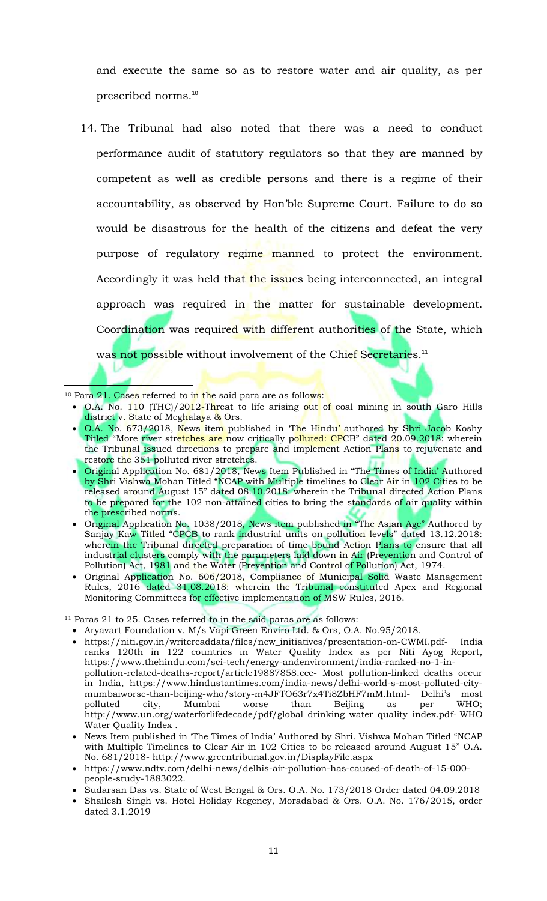and execute the same so as to restore water and air quality, as per prescribed norms.<sup>10</sup>

14. The Tribunal had also noted that there was a need to conduct performance audit of statutory regulators so that they are manned by competent as well as credible persons and there is a regime of their accountability, as observed by Hon'ble Supreme Court. Failure to do so would be disastrous for the health of the citizens and defeat the very purpose of regulatory regime manned to protect the environment. Accordingly it was held that the issues being interconnected, an integral approach was required in the matter for sustainable development. Coordination was required with different authorities of the State, which was not possible without involvement of the Chief Secretaries.<sup>11</sup>

<sup>10</sup> Para 21. Cases referred to in the said para are as follows:

 $\overline{\phantom{a}}$ 

- O.A. No. 110 (THC)/2012-Threat to life arising out of coal mining in south Garo Hills district v. State of Meghalaya & Ors.
- O.A. No. 673/2018, News item published in 'The Hindu' authored by Shri Jacob Koshy Titled "More river stretches are now critically polluted: CPCB" dated 20.09.2018: wherein the Tribunal issued directions to prepare and implement Action Plans to rejuvenate and restore the 351 polluted river stretches.
- Original Application No. 681/2018, News Item Published in "The Times of India' Authored by Shri Vishwa Mohan Titled "NCAP with Multiple timelines to Clear Air in 102 Cities to be released around August 15" dated 08.10.2018: wherein the Tribunal directed Action Plans to be prepared for the 102 non-attained cities to bring the standards of air quality within the prescribed norms.
- Original Application No. 1038/2018, News item published in "The Asian Age" Authored by Sanjay Kaw Titled "CPCB to rank industrial units on pollution levels" dated 13.12.2018: wherein the Tribunal directed preparation of time bound Action Plans to ensure that all industrial clusters comply with the parameters laid down in Air (Prevention and Control of Pollution) Act, 1981 and the Water (Prevention and Control of Pollution) Act, 1974.
- Original Application No. 606/2018, Compliance of Municipal Solid Waste Management Rules, 2016 dated 31.08.2018: wherein the Tribunal constituted Apex and Regional Monitoring Committees for effective implementation of MSW Rules, 2016.

<sup>11</sup> Paras 21 to 25. Cases referred to in the said paras are as follows:

- Aryavart Foundation v. M/s Vapi Green Enviro Ltd. & Ors, O.A. No.95/2018.
- https://niti.gov.in/writereaddata/files/new\_initiatives/presentation-on-CWMI.pdf- India ranks 120th in 122 countries in Water Quality Index as per Niti Ayog Report, https://www.thehindu.com/sci-tech/energy-andenvironment/india-ranked-no-1-inpollution-related-deaths-report/article19887858.ece- Most pollution-linked deaths occur in India, https://www.hindustantimes.com/india-news/delhi-world-s-most-polluted-citymumbaiworse-than-beijing-who/story-m4JFTO63r7x4Ti8ZbHF7mM.html- Delhi's most polluted city, Mumbai worse than Beijing as per WHO; polluted city, Mumbai worse than Beijing as per WHO; http://www.un.org/waterforlifedecade/pdf/global\_drinking\_water\_quality\_index.pdf- WHO Water Quality Index .
- News Item published in 'The Times of India' Authored by Shri. Vishwa Mohan Titled "NCAP with Multiple Timelines to Clear Air in 102 Cities to be released around August 15" O.A. No. 681/2018- http://www.greentribunal.gov.in/DisplayFile.aspx
- https://www.ndtv.com/delhi-news/delhis-air-pollution-has-caused-of-death-of-15-000 people-study-1883022.
- Sudarsan Das vs. State of West Bengal & Ors. O.A. No. 173/2018 Order dated 04.09.2018
- Shailesh Singh vs. Hotel Holiday Regency, Moradabad & Ors. O.A. No. 176/2015, order dated 3.1.2019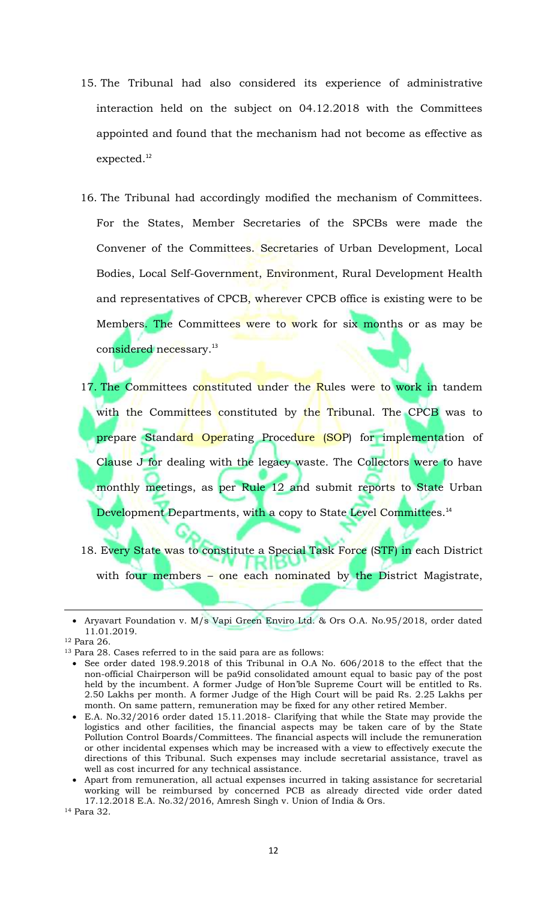- 15. The Tribunal had also considered its experience of administrative interaction held on the subject on 04.12.2018 with the Committees appointed and found that the mechanism had not become as effective as expected.<sup>12</sup>
- 16. The Tribunal had accordingly modified the mechanism of Committees. For the States, Member Secretaries of the SPCBs were made the Convener of the Committees. Secretaries of Urban Development, Local Bodies, Local Self-Government, Environment, Rural Development Health and representatives of CPCB, wherever CPCB office is existing were to be Members. The Committees were to work for six months or as may be considered necessary.<sup>13</sup>
- 17. The Committees constituted under the Rules were to work in tandem with the Committees constituted by the Tribunal. The CPCB was to prepare Standard Operating Procedure (SOP) for implementation of Clause J for dealing with the legacy waste. The Collectors were to have monthly meetings, as per Rule 12 and submit reports to State Urban Development Departments, with a copy to State Level Committees.<sup>14</sup>
- 18. Every State was to constitute a Special Task Force (STF) in each District with four members – one each nominated by the District Magistrate,

<sup>12</sup> Para 26.

 $\overline{\phantom{a}}$ 

- See order dated 198.9.2018 of this Tribunal in O.A No. 606/2018 to the effect that the non-official Chairperson will be pa9id consolidated amount equal to basic pay of the post held by the incumbent. A former Judge of Hon'ble Supreme Court will be entitled to Rs. 2.50 Lakhs per month. A former Judge of the High Court will be paid Rs. 2.25 Lakhs per month. On same pattern, remuneration may be fixed for any other retired Member.
- E.A. No.32/2016 order dated 15.11.2018- Clarifying that while the State may provide the logistics and other facilities, the financial aspects may be taken care of by the State Pollution Control Boards/Committees. The financial aspects will include the remuneration or other incidental expenses which may be increased with a view to effectively execute the directions of this Tribunal. Such expenses may include secretarial assistance, travel as well as cost incurred for any technical assistance.
- Apart from remuneration, all actual expenses incurred in taking assistance for secretarial working will be reimbursed by concerned PCB as already directed vide order dated 17.12.2018 E.A. No.32/2016, Amresh Singh v. Union of India & Ors.

<sup>14</sup> Para 32.

Aryavart Foundation v. M/s Vapi Green Enviro Ltd. & Ors O.A. No.95/2018, order dated 11.01.2019.

<sup>13</sup> Para 28. Cases referred to in the said para are as follows: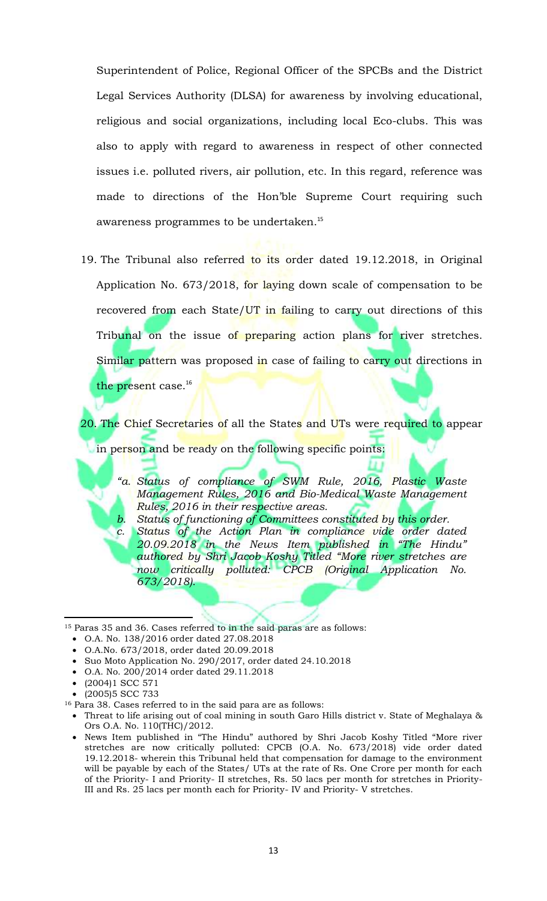Superintendent of Police, Regional Officer of the SPCBs and the District Legal Services Authority (DLSA) for awareness by involving educational, religious and social organizations, including local Eco-clubs. This was also to apply with regard to awareness in respect of other connected issues i.e. polluted rivers, air pollution, etc. In this regard, reference was made to directions of the Hon'ble Supreme Court requiring such awareness programmes to be undertaken.<sup>15</sup>

19. The Tribunal also referred to its order dated 19.12.2018, in Original Application No. 673/2018, for laying down scale of compensation to be recovered from each State/ $UT$  in failing to carry out directions of this Tribunal on the issue of preparing action plans for river stretches. Similar pattern was proposed in case of failing to carry out directions in the present case.<sup>16</sup>

20. The Chief Secretaries of all the States and UTs were required to appear in person and be ready on the following specific points:

*"a. Status of compliance of SWM Rule, 2016, Plastic Waste Management Rules, 2016 and Bio-Medical Waste Management Rules, 2016 in their respective areas.* 

*b. Status of functioning of Committees constituted by this order. Chatus of the Action Plan in compliance vide order dated 20.09.2018 in the News Item published in "The Hindu" authored by Shri Jacob Koshy Titled "More river stretches are now critically polluted: CPCB (Original Application No. 673/2018).* 

<sup>15</sup> Paras 35 and 36. Cases referred to in the said paras are as follows:

- O.A.No. 673/2018, order dated 20.09.2018
- Suo Moto Application No. 290/2017, order dated 24.10.2018
- O.A. No. 200/2014 order dated 29.11.2018
- $(2004)1$  SCC 571

 $\overline{\phantom{a}}$ 

(2005)5 SCC 733

<sup>16</sup> Para 38. Cases referred to in the said para are as follows:

- Threat to life arising out of coal mining in south Garo Hills district v. State of Meghalaya & Ors O.A. No. 110(THC)/2012.
- News Item published in "The Hindu" authored by Shri Jacob Koshy Titled "More river stretches are now critically polluted: CPCB (O.A. No. 673/2018) vide order dated 19.12.2018- wherein this Tribunal held that compensation for damage to the environment will be payable by each of the States/ UTs at the rate of Rs. One Crore per month for each of the Priority- I and Priority- II stretches, Rs. 50 lacs per month for stretches in Priority-III and Rs. 25 lacs per month each for Priority- IV and Priority- V stretches.

O.A. No. 138/2016 order dated 27.08.2018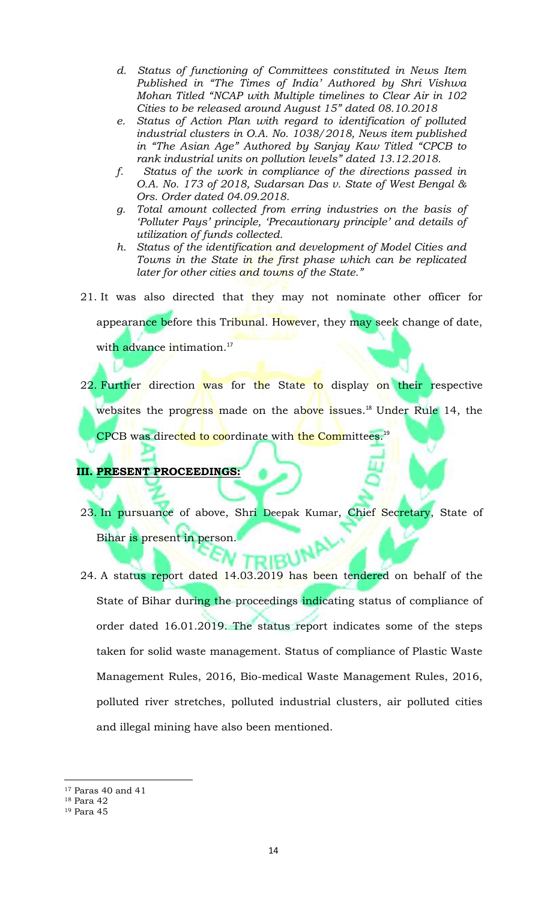- *d. Status of functioning of Committees constituted in News Item Published in "The Times of India' Authored by Shri Vishwa Mohan Titled "NCAP with Multiple timelines to Clear Air in 102 Cities to be released around August 15" dated 08.10.2018*
- *e. Status of Action Plan with regard to identification of polluted industrial clusters in O.A. No. 1038/2018, News item published in "The Asian Age" Authored by Sanjay Kaw Titled "CPCB to rank industrial units on pollution levels" dated 13.12.2018.*
- *f. Status of the work in compliance of the directions passed in O.A. No. 173 of 2018, Sudarsan Das v. State of West Bengal & Ors. Order dated 04.09.2018.*
- *g. Total amount collected from erring industries on the basis of 'Polluter Pays' principle, 'Precautionary principle' and details of utilization of funds collected.*
- *h. Status of the identification and development of Model Cities and Towns in the State in the first phase which can be replicated later for other cities and towns of the State."*
- 21. It was also directed that they may not nominate other officer for

appearance before this Tribunal. However, they may seek change of date,

with advance intimation.<sup>17</sup>

22. Further direction was for the State to display on their respective websites the progress made on the above issues.<sup>18</sup> Under Rule 14, the CPCB was directed to coordinate with the Committees.<sup>19</sup>

# **III. PRESENT PROCEEDINGS:**

- 23. In pursuance of above, Shri Deepak Kumar, Chief Secretary, State of Bihar is present in person.
- 24. A status report dated 14.03.2019 has been tendered on behalf of the State of Bihar during the proceedings indicating status of compliance of order dated 16.01.2019. The status report indicates some of the steps taken for solid waste management. Status of compliance of Plastic Waste Management Rules, 2016, Bio-medical Waste Management Rules, 2016, polluted river stretches, polluted industrial clusters, air polluted cities and illegal mining have also been mentioned.

l <sup>17</sup> Paras 40 and 41

<sup>18</sup> Para 42

<sup>19</sup> Para 45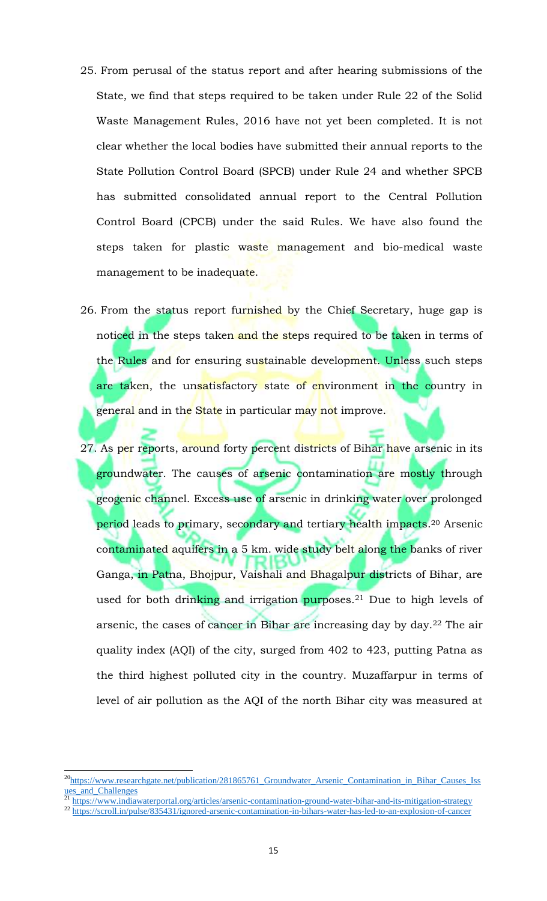- 25. From perusal of the status report and after hearing submissions of the State, we find that steps required to be taken under Rule 22 of the Solid Waste Management Rules, 2016 have not yet been completed. It is not clear whether the local bodies have submitted their annual reports to the State Pollution Control Board (SPCB) under Rule 24 and whether SPCB has submitted consolidated annual report to the Central Pollution Control Board (CPCB) under the said Rules. We have also found the steps taken for plastic waste management and bio-medical waste management to be inadequate.
- 26. From the status report furnished by the Chief Secretary, huge gap is noticed in the steps taken and the steps required to be taken in terms of the Rules and for ensuring sustainable development. Unless such steps are taken, the unsatisfactory state of environment in the country in general and in the State in particular may not improve.
- 27. As per reports, around forty percent districts of Bihar have arsenic in its groundwater. The causes of arsenic contamination are mostly through geogenic channel. Excess use of arsenic in drinking water over prolonged period leads to primary, secondary and tertiary health impacts.<sup>20</sup> Arsenic contaminated aquifers in a 5 km. wide study belt along the banks of river Ganga, in Patna, Bhojpur, Vaishali and Bhagalpur districts of Bihar, are used for both drinking and irrigation purposes.<sup>21</sup> Due to high levels of arsenic, the cases of cancer in Bihar are increasing day by day.<sup>22</sup> The air quality index (AQI) of the city, surged from 402 to 423, putting Patna as the third highest polluted city in the country. Muzaffarpur in terms of level of air pollution as the AQI of the north Bihar city was measured at

<sup>21</sup> https://www.indiawaterportal.org/articles/arsenic-contamination-ground-water-bihar-and-its-mitigation-strategy

 $\overline{\phantom{a}}$ 

<sup>22</sup> https://scroll.in/pulse/835431/ignored-arsenic-contamination-in-bihars-water-has-led-to-an-explosion-of-cancer

 $^{20}$ https://www.researchgate.net/publication/281865761 Groundwater Arsenic Contamination in Bihar Causes Iss ues\_and\_Challenges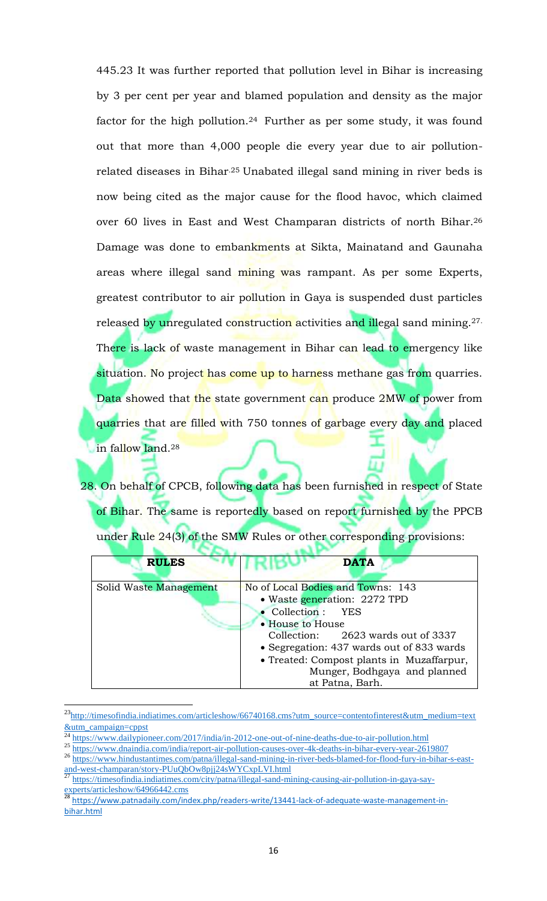445.23 It was further reported that pollution level in Bihar is increasing by 3 per cent per year and blamed population and density as the major factor for the high pollution.<sup>24</sup> Further as per some study, it was found out that more than 4,000 people die every year due to air pollutionrelated diseases in Bihar.25 Unabated illegal sand mining in river beds is now being cited as the major cause for the flood havoc, which claimed over 60 lives in East and West Champaran districts of north Bihar.<sup>26</sup> Damage was done to embankments at Sikta, Mainatand and Gaunaha areas where illegal sand mining was rampant. As per some Experts, greatest contributor to air pollution in Gaya is suspended dust particles released by unregulated construction activities and illegal sand mining.<sup>27.</sup> There is lack of waste management in Bihar can lead to emergency like situation. No project has come up to harness methane gas from quarries. Data showed that the state government can produce 2MW of power from quarries that are filled with 750 tonnes of garbage every day and placed in fallow land.<sup>28</sup>

28. On behalf of CPCB, following data has been furnished in respect of State of Bihar. The same is reportedly based on report furnished by the PPCB under Rule 24(3) of the SMW Rules or other corresponding provisions:

| <b>RULES</b>           | <b>DATA</b>                               |
|------------------------|-------------------------------------------|
| Solid Waste Management | No of Local Bodies and Towns: 143         |
|                        | • Waste generation: 2272 TPD              |
|                        | • Collection : YES                        |
|                        | • House to House                          |
|                        | Collection: 2623 wards out of 3337        |
|                        | • Segregation: 437 wards out of 833 wards |
|                        | • Treated: Compost plants in Muzaffarpur, |
|                        | Munger, Bodhgaya and planned              |
|                        | at Patna, Barh.                           |

<sup>&</sup>lt;sup>23</sup>http://timesofindia.indiatimes.com/articleshow/66740168.cms?utm\_source=contentofinterest&utm\_medium=text <u>&utm\_campaign=cppst</u>

 $\overline{a}$ 

<sup>24</sup> https://www.dailypioneer.com/2017/india/in-2012-one-out-of-nine-deaths-due-to-air-pollution.html

<sup>25</sup> https://www.dnaindia.com/india/report-air-pollution-causes-over-4k-deaths-in-bihar-every-year-2619807

<sup>26</sup> https://www.hindustantimes.com/patna/illegal-sand-mining-in-river-beds-blamed-for-flood-fury-in-bihar-s-eastand-west-champaran/story-PUuQbOw8pjj24sWYCxpLVI.html

<sup>27</sup> https://timesofindia.indiatimes.com/city/patna/illegal-sand-mining-causing-air-pollution-in-gaya-sayexperts/articleshow/64966442.cms

<sup>28</sup> https://www.patnadaily.com/index.php/readers-write/13441-lack-of-adequate-waste-management-inbihar.html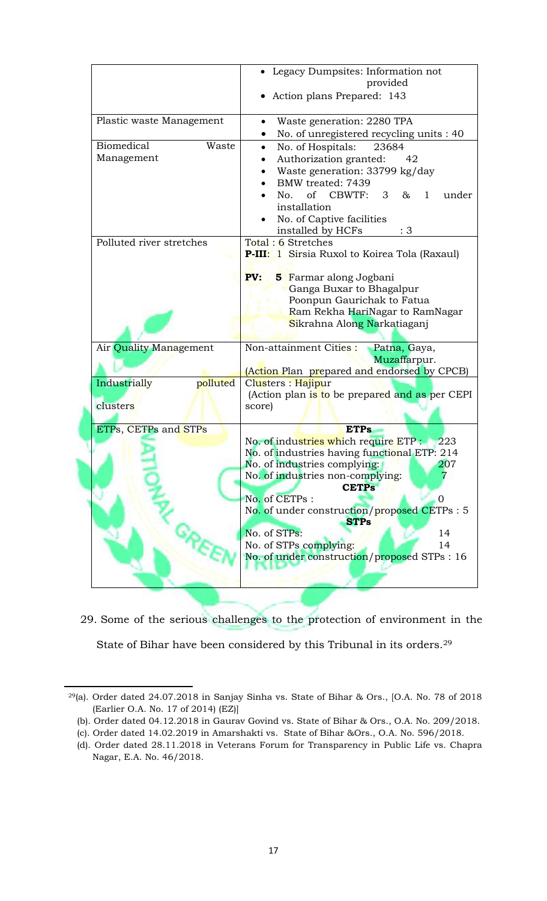|                          | Legacy Dumpsites: Information not                                |
|--------------------------|------------------------------------------------------------------|
|                          | provided                                                         |
|                          | Action plans Prepared: 143                                       |
|                          |                                                                  |
| Plastic waste Management | Waste generation: 2280 TPA<br>$\bullet$                          |
|                          | No. of unregistered recycling units : 40<br>$\bullet$            |
| Biomedical<br>Waste      | No. of Hospitals:<br>23684<br>$\bullet$                          |
| Management               | Authorization granted:<br>42<br>٠                                |
|                          |                                                                  |
|                          | Waste generation: 33799 kg/day                                   |
|                          | BMW treated: 7439                                                |
|                          | No. of CBWTF:<br>3 <sup>7</sup><br>$\&$<br>$\mathbf{1}$<br>under |
|                          | installation                                                     |
|                          | No. of Captive facilities                                        |
|                          | installed by HCFs<br>: 3                                         |
| Polluted river stretches | Total: 6 Stretches                                               |
|                          | P-III: 1 Sirsia Ruxol to Koirea Tola (Raxaul)                    |
|                          |                                                                  |
|                          | PV:<br>5 Farmar along Jogbani                                    |
|                          | Ganga Buxar to Bhagalpur                                         |
|                          | Poonpun Gaurichak to Fatua                                       |
|                          | Ram Rekha HariNagar to RamNagar                                  |
|                          | Sikrahna Along Narkatiaganj                                      |
|                          |                                                                  |
| Air Quality Management   | Non-attainment Cities :<br>Patna, Gaya,                          |
|                          | Muzaffarpur.                                                     |
|                          | (Action Plan prepared and endorsed by CPCB)                      |
| Industrially<br>polluted | Clusters : Hajipur                                               |
|                          | (Action plan is to be prepared and as per CEPI                   |
| clusters                 | score)                                                           |
|                          |                                                                  |
| ETPs, CETPs and STPs     | <b>ETPs</b>                                                      |
|                          | No. of industries which require ETP :<br>223                     |
|                          | No. of industries having functional ETP: 214                     |
|                          | No. of industries complying:<br>207                              |
|                          | No. of industries non-complying:                                 |
|                          | <b>CETPs</b>                                                     |
|                          | No. of CETPs:<br>$\Omega$                                        |
|                          | No. of under construction/proposed CETPs: 5                      |
|                          | <b>STPs</b>                                                      |
|                          | No. of STPs:<br>14                                               |
|                          | No. of STPs complying:<br>14                                     |
|                          | No. of under construction/proposed STPs : 16                     |
|                          |                                                                  |
|                          |                                                                  |
|                          |                                                                  |
|                          |                                                                  |

29. Some of the serious challenges to the protection of environment in the State of Bihar have been considered by this Tribunal in its orders.<sup>29</sup>

 $\overline{a}$ 

<sup>29</sup>(a). Order dated 24.07.2018 in Sanjay Sinha vs. State of Bihar & Ors., [O.A. No. 78 of 2018 (Earlier O.A. No. 17 of 2014) (EZ)]

 <sup>(</sup>b). Order dated 04.12.2018 in Gaurav Govind vs. State of Bihar & Ors., O.A. No. 209/2018.

 <sup>(</sup>c). Order dated 14.02.2019 in Amarshakti vs. State of Bihar &Ors., O.A. No. 596/2018.

 <sup>(</sup>d). Order dated 28.11.2018 in Veterans Forum for Transparency in Public Life vs. Chapra Nagar, E.A. No. 46/2018.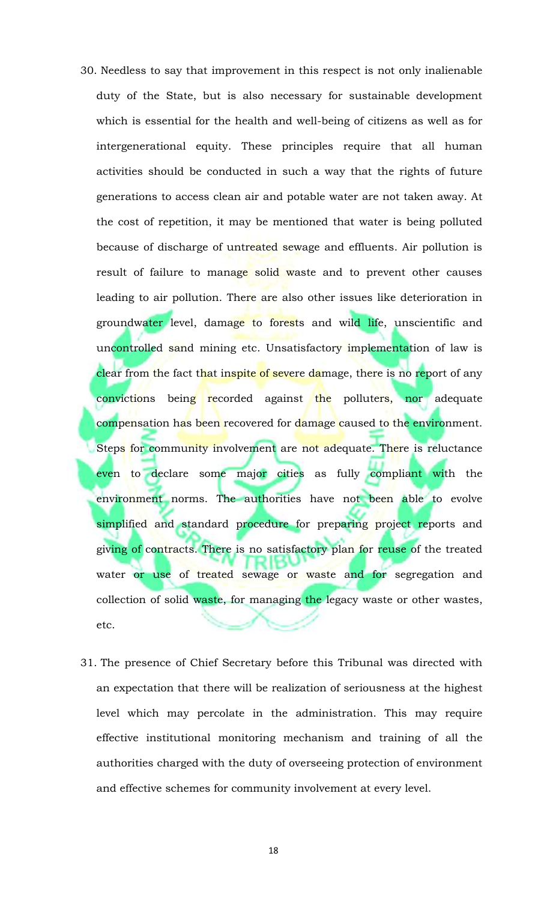- 30. Needless to say that improvement in this respect is not only inalienable duty of the State, but is also necessary for sustainable development which is essential for the health and well-being of citizens as well as for intergenerational equity. These principles require that all human activities should be conducted in such a way that the rights of future generations to access clean air and potable water are not taken away. At the cost of repetition, it may be mentioned that water is being polluted because of discharge of untreated sewage and effluents. Air pollution is result of failure to manage solid waste and to prevent other causes leading to air pollution. There are also other issues like deterioration in groundwater level, damage to forests and wild life, unscientific and uncontrolled sand mining etc. Unsatisfactory implementation of law is clear from the fact that inspite of severe damage, there is no report of any convictions being recorded against the polluters, nor adequate compensation has been recovered for damage caused to the environment. Steps for community involvement are not adequate. There is reluctance even to declare some major cities as fully compliant with the environment norms. The authorities have not been able to evolve simplified and standard procedure for preparing project reports and giving of contracts. There is no satisfactory plan for reuse of the treated water or use of treated sewage or waste and for segregation and collection of solid waste, for managing the legacy waste or other wastes, etc.
- 31. The presence of Chief Secretary before this Tribunal was directed with an expectation that there will be realization of seriousness at the highest level which may percolate in the administration. This may require effective institutional monitoring mechanism and training of all the authorities charged with the duty of overseeing protection of environment and effective schemes for community involvement at every level.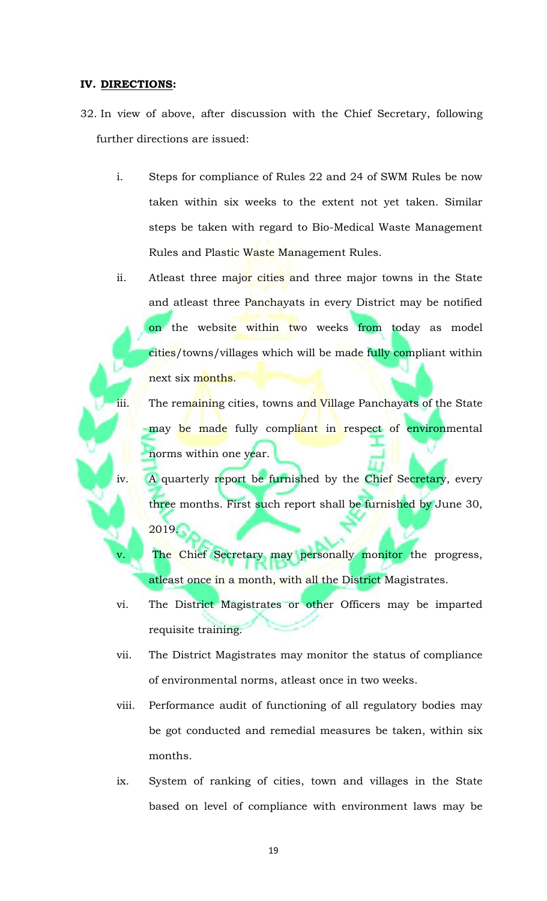### **IV. DIRECTIONS:**

- 32. In view of above, after discussion with the Chief Secretary, following further directions are issued:
	- i. Steps for compliance of Rules 22 and 24 of SWM Rules be now taken within six weeks to the extent not yet taken. Similar steps be taken with regard to Bio-Medical Waste Management Rules and Plastic Waste Management Rules.
	- ii. Atleast three major cities and three major towns in the State and atleast three Panchayats in every District may be notified on the website within two weeks from today as model cities/towns/villages which will be made fully compliant within next six months.
	- iii. The remaining cities, towns and Village Panchayats of the State may be made fully compliant in respect of environmental norms within one year.
	- iv. A quarterly report be furnished by the Chief Secretary, every three months. First such report shall be furnished by June 30, 2019.
		- The Chief Secretary may personally monitor the progress, atleast once in a month, with all the District Magistrates.
	- vi. The District Magistrates or other Officers may be imparted requisite training.
	- vii. The District Magistrates may monitor the status of compliance of environmental norms, atleast once in two weeks.
	- viii. Performance audit of functioning of all regulatory bodies may be got conducted and remedial measures be taken, within six months.
	- ix. System of ranking of cities, town and villages in the State based on level of compliance with environment laws may be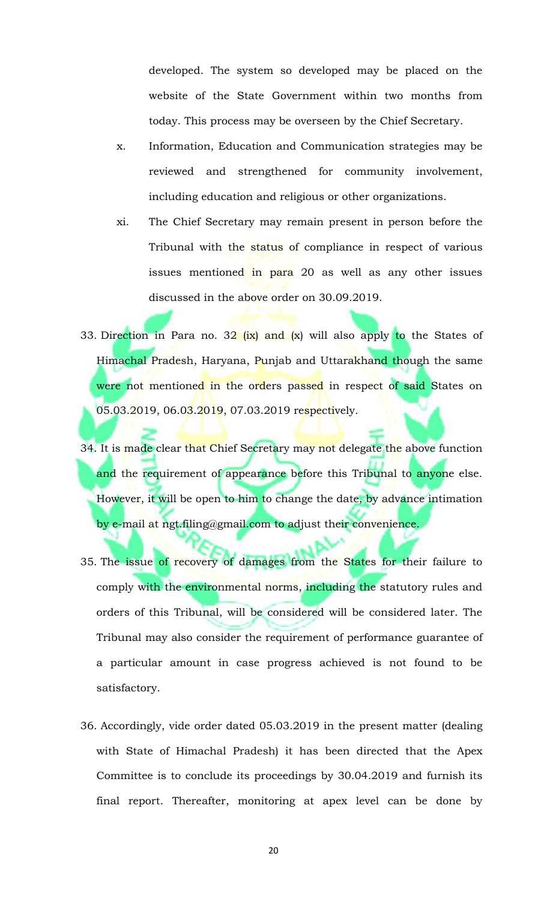developed. The system so developed may be placed on the website of the State Government within two months from today. This process may be overseen by the Chief Secretary.

- x. Information, Education and Communication strategies may be reviewed and strengthened for community involvement, including education and religious or other organizations.
- xi. The Chief Secretary may remain present in person before the Tribunal with the status of compliance in respect of various issues mentioned in para 20 as well as any other issues discussed in the above order on 30.09.2019.
- 33. Direction in Para no.  $32$  (ix) and (x) will also apply to the States of Himachal Pradesh, Haryana, Punjab and Uttarakhand though the same were not mentioned in the orders passed in respect of said States on 05.03.2019, 06.03.2019, 07.03.2019 respectively.
- 34. It is made clear that Chief Secretary may not delegate the above function and the requirement of appearance before this Tribunal to anyone else. However, it will be open to him to change the date, by advance intimation by e-mail at ngt.filing@gmail.com to adjust their convenience.
- 35. The issue of recovery of damages from the States for their failure to comply with the environmental norms, including the statutory rules and orders of this Tribunal, will be considered will be considered later. The Tribunal may also consider the requirement of performance guarantee of a particular amount in case progress achieved is not found to be satisfactory.
- 36. Accordingly, vide order dated 05.03.2019 in the present matter (dealing with State of Himachal Pradesh) it has been directed that the Apex Committee is to conclude its proceedings by 30.04.2019 and furnish its final report. Thereafter, monitoring at apex level can be done by